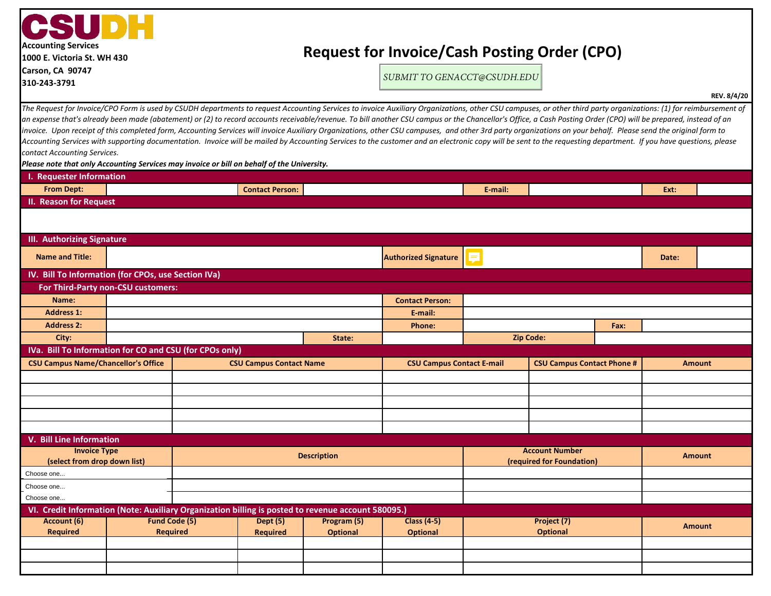| CSUDH<br><b>Accounting Services</b><br>1000 E. Victoria St. WH 430                                              | <b>Request for Invoice/Cash Posting Order (CPO)</b>                                                                                                                                                                                                                                                                                                                                                                                |         |                                                                                                                                                                                                                 |             |  |  |  |
|-----------------------------------------------------------------------------------------------------------------|------------------------------------------------------------------------------------------------------------------------------------------------------------------------------------------------------------------------------------------------------------------------------------------------------------------------------------------------------------------------------------------------------------------------------------|---------|-----------------------------------------------------------------------------------------------------------------------------------------------------------------------------------------------------------------|-------------|--|--|--|
| Carson, CA 90747<br>310-243-3791                                                                                | SUBMIT TO GENACCT@CSUDH.EDU                                                                                                                                                                                                                                                                                                                                                                                                        |         |                                                                                                                                                                                                                 |             |  |  |  |
|                                                                                                                 |                                                                                                                                                                                                                                                                                                                                                                                                                                    |         |                                                                                                                                                                                                                 | REV. 8/4/20 |  |  |  |
|                                                                                                                 | invoice. Upon receipt of this completed form, Accounting Services will invoice Auxiliary Organizations, other CSU campuses, and other 3rd party organizations on your behalf. Please send the original form to<br>Accounting Services with supporting documentation. Invoice will be mailed by Accounting Services to the customer and an electronic copy will be sent to the requesting department. If you have questions, please |         | an expense that's already been made (abatement) or (2) to record accounts receivable/revenue. To bill another CSU campus or the Chancellor's Office, a Cash Posting Order (CPO) will be prepared, instead of an |             |  |  |  |
| contact Accounting Services.<br>I. Requester Information                                                        |                                                                                                                                                                                                                                                                                                                                                                                                                                    |         |                                                                                                                                                                                                                 |             |  |  |  |
| Please note that only Accounting Services may invoice or bill on behalf of the University.<br><b>From Dept:</b> | <b>Contact Person:</b>                                                                                                                                                                                                                                                                                                                                                                                                             | E-mail: | Ext:                                                                                                                                                                                                            |             |  |  |  |
| II. Reason for Request                                                                                          |                                                                                                                                                                                                                                                                                                                                                                                                                                    |         |                                                                                                                                                                                                                 |             |  |  |  |
|                                                                                                                 |                                                                                                                                                                                                                                                                                                                                                                                                                                    |         |                                                                                                                                                                                                                 |             |  |  |  |
|                                                                                                                 |                                                                                                                                                                                                                                                                                                                                                                                                                                    |         |                                                                                                                                                                                                                 |             |  |  |  |
| III. Authorizing Signature                                                                                      |                                                                                                                                                                                                                                                                                                                                                                                                                                    |         |                                                                                                                                                                                                                 |             |  |  |  |

| Authorizing Jighuture                                                                              |                                                       |  |                                |                           |                                  |                  |                                   |       |               |               |
|----------------------------------------------------------------------------------------------------|-------------------------------------------------------|--|--------------------------------|---------------------------|----------------------------------|------------------|-----------------------------------|-------|---------------|---------------|
| <b>Name and Title:</b>                                                                             |                                                       |  |                                |                           | <b>Authorized Signature</b>      | F                |                                   | Date: |               |               |
| IV. Bill To Information (for CPOs, use Section IVa)                                                |                                                       |  |                                |                           |                                  |                  |                                   |       |               |               |
| For Third-Party non-CSU customers:                                                                 |                                                       |  |                                |                           |                                  |                  |                                   |       |               |               |
| Name:                                                                                              |                                                       |  |                                |                           | <b>Contact Person:</b>           |                  |                                   |       |               |               |
| <b>Address 1:</b>                                                                                  |                                                       |  |                                |                           | E-mail:                          |                  |                                   |       |               |               |
| <b>Address 2:</b>                                                                                  |                                                       |  |                                |                           | <b>Phone:</b>                    | Fax:             |                                   |       |               |               |
| City:                                                                                              |                                                       |  |                                | State:                    |                                  | <b>Zip Code:</b> |                                   |       |               |               |
| IVa. Bill To Information for CO and CSU (for CPOs only)                                            |                                                       |  |                                |                           |                                  |                  |                                   |       |               |               |
|                                                                                                    | <b>CSU Campus Name/Chancellor's Office</b>            |  | <b>CSU Campus Contact Name</b> |                           | <b>CSU Campus Contact E-mail</b> |                  | <b>CSU Campus Contact Phone #</b> |       |               | <b>Amount</b> |
|                                                                                                    |                                                       |  |                                |                           |                                  |                  |                                   |       |               |               |
|                                                                                                    |                                                       |  |                                |                           |                                  |                  |                                   |       |               |               |
|                                                                                                    |                                                       |  |                                |                           |                                  |                  |                                   |       |               |               |
|                                                                                                    |                                                       |  |                                |                           |                                  |                  |                                   |       |               |               |
|                                                                                                    |                                                       |  |                                |                           |                                  |                  |                                   |       |               |               |
| V. Bill Line Information                                                                           |                                                       |  |                                |                           |                                  |                  |                                   |       |               |               |
| <b>Invoice Type</b><br><b>Description</b>                                                          |                                                       |  | <b>Account Number</b>          |                           |                                  |                  | <b>Amount</b>                     |       |               |               |
|                                                                                                    | (select from drop down list)                          |  |                                | (required for Foundation) |                                  |                  |                                   |       |               |               |
| Choose one                                                                                         |                                                       |  |                                |                           |                                  |                  |                                   |       |               |               |
| Choose one                                                                                         |                                                       |  |                                |                           |                                  |                  |                                   |       |               |               |
| Choose one                                                                                         |                                                       |  |                                |                           |                                  |                  |                                   |       |               |               |
| VI. Credit Information (Note: Auxiliary Organization billing is posted to revenue account 580095.) |                                                       |  |                                |                           |                                  |                  |                                   |       |               |               |
| Account (6)                                                                                        | <b>Fund Code (5)</b><br>Dept (5)<br>Program (5)       |  |                                | <b>Class (4-5)</b>        | Project (7)                      |                  |                                   |       | <b>Amount</b> |               |
| <b>Required</b>                                                                                    | <b>Required</b><br><b>Required</b><br><b>Optional</b> |  |                                | <b>Optional</b>           |                                  | <b>Optional</b>  |                                   |       |               |               |
|                                                                                                    |                                                       |  |                                |                           |                                  |                  |                                   |       |               |               |
|                                                                                                    |                                                       |  |                                |                           |                                  |                  |                                   |       |               |               |
|                                                                                                    |                                                       |  |                                |                           |                                  |                  |                                   |       |               |               |